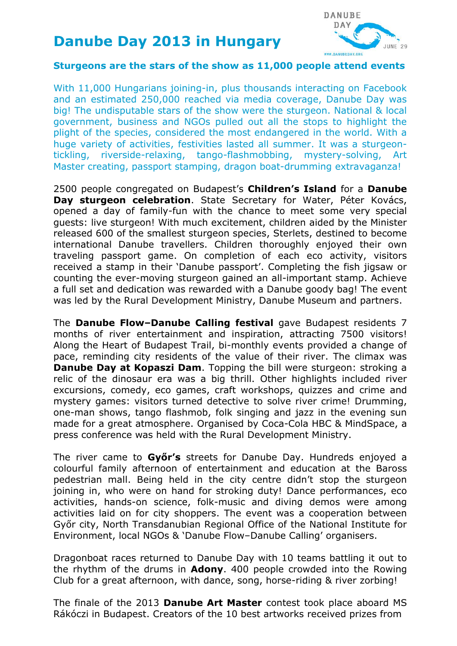## **Danube Day 2013 in Hungary**



## **Sturgeons are the stars of the show as 11,000 people attend events**

With 11,000 Hungarians joining-in, plus thousands interacting on Facebook and an estimated 250,000 reached via media coverage, Danube Day was big! The undisputable stars of the show were the sturgeon. National & local government, business and NGOs pulled out all the stops to highlight the plight of the species, considered the most endangered in the world. With a huge variety of activities, festivities lasted all summer. It was a sturgeontickling, riverside-relaxing, tango-flashmobbing, mystery-solving, Art Master creating, passport stamping, dragon boat-drumming extravaganza!

2500 people congregated on Budapest's **Children's Island** for a **Danube Day sturgeon celebration**. State Secretary for Water, Péter Kovács, opened a day of family-fun with the chance to meet some very special guests: live sturgeon! With much excitement, children aided by the Minister released 600 of the smallest sturgeon species, Sterlets, destined to become international Danube travellers. Children thoroughly enjoyed their own traveling passport game. On completion of each eco activity, visitors received a stamp in their 'Danube passport'. Completing the fish jigsaw or counting the ever-moving sturgeon gained an all-important stamp. Achieve a full set and dedication was rewarded with a Danube goody bag! The event was led by the Rural Development Ministry, Danube Museum and partners.

The **Danube Flow–Danube Calling festival** gave Budapest residents 7 months of river entertainment and inspiration, attracting 7500 visitors! Along the [Heart of Budapest](http://www.dunatanosveny.hu/) Trail, bi-monthly events provided a change of pace, reminding city residents of the value of their river. The climax was **Danube Day at Kopaszi Dam**. Topping the bill were sturgeon: stroking a relic of the dinosaur era was a big thrill. Other highlights included river excursions, comedy, eco games, craft workshops, quizzes and crime and mystery games: visitors turned detective to solve river crime! Drumming, one-man shows, tango flashmob, folk singing and jazz in the evening sun made for a great atmosphere. Organised by Coca-Cola HBC & MindSpace, a press conference was held with the Rural Development Ministry.

The river came to **Győr's** streets for Danube Day. Hundreds enjoyed a colourful family afternoon of entertainment and education at the Baross pedestrian mall. Being held in the city centre didn't stop the sturgeon joining in, who were on hand for stroking duty! Dance performances, eco activities, hands-on science, folk-music and diving demos were among activities laid on for city shoppers. The event was a cooperation between Győr city, North Transdanubian Regional Office of the National Institute for Environment, local NGOs & 'Danube Flow–Danube Calling' organisers.

Dragonboat races returned to Danube Day with 10 teams battling it out to the rhythm of the drums in **Adony**. 400 people crowded into the Rowing Club for a great afternoon, with dance, song, horse-riding & river zorbing!

The finale of the 2013 **[Danube Art Master](http://www.danubeday.org/Danube_Art_Master)** contest took place aboard MS Rákóczi in Budapest. Creators of the 10 best artworks received prizes from